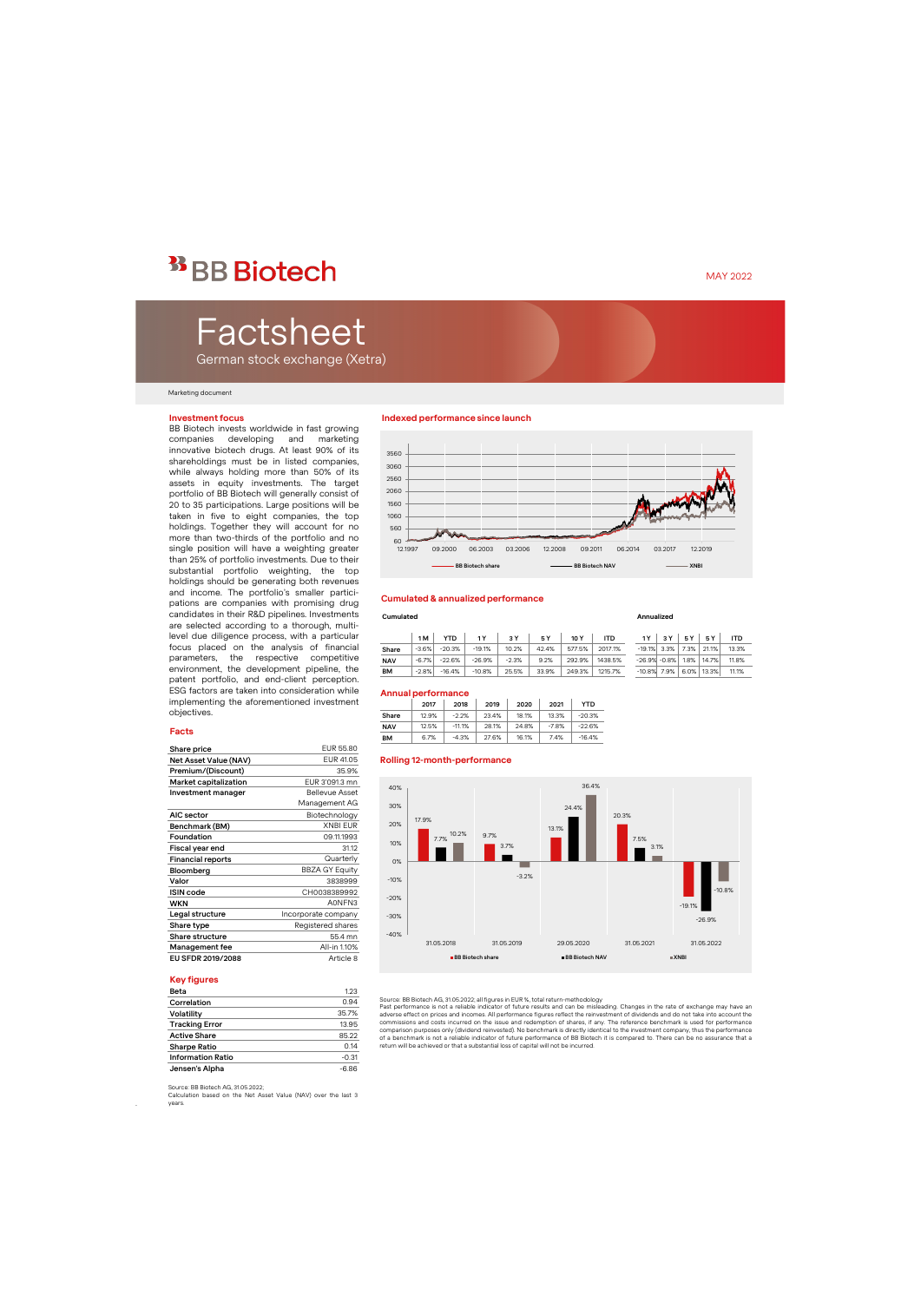## <sup>33</sup> BB Biotech

# Factsheet

German stock exchange (Xetra)

#### Marketing document

#### **Investment focus**

BB Biotech invests worldwide in fast growing companies developing and marketing innovative biotech drugs. At least 90% of its shareholdings must be in listed companies, while always holding more than 50% of its assets in equity investments. The target portfolio of BB Biotech will generally consist of 20 to 35 participations. Large positions will be taken in five to eight companies, the top holdings. Together they will account for no more than two-thirds of the portfolio and no single position will have a weighting greater than 25% of portfolio investments. Due to their substantial portfolio weighting, the top holdings should be generating both revenues and income. The portfolio's smaller participations are companies with promising drug candidates in their R&D pipelines. Investments are selected according to a thorough, multilevel due diligence process, with a particular focus placed on the analysis of financial parameters, the respective competitive environment, the development pipeline, the patent portfolio, and end-client perception. ESG factors are taken into consideration while implementing the aforementioned investment objectives.

#### **Facts**

| Share price              | EUR 55.80             |
|--------------------------|-----------------------|
| Net Asset Value (NAV)    | EUR 41.05             |
| Premium/(Discount)       | 35.9%                 |
| Market capitalization    | EUR 3'091.3 mn        |
| Investment manager       | <b>Bellevue Asset</b> |
|                          | Management AG         |
| AIC sector               | Biotechnology         |
| Benchmark (BM)           | <b>XNBI EUR</b>       |
| Foundation               | 09.11.1993            |
| Fiscal year end          | 31.12                 |
| <b>Financial reports</b> | Quarterly             |
| Bloomberg                | <b>BBZA GY Equity</b> |
| Valor                    | 3838999               |
| <b>ISIN</b> code         | CH0038389992          |
| WKN                      | A0NFN3                |
| Legal structure          | Incorporate company   |
| Share type               | Registered shares     |
| Share structure          | 55.4 mn               |
| Management fee           | All-in 1.10%          |
| EU SFDR 2019/2088        | Article 8             |

#### **Key figures**

.

| Beta                     | 1.23    |
|--------------------------|---------|
| Correlation              | 0.94    |
| Volatility               | 35.7%   |
| <b>Tracking Error</b>    | 13.95   |
| <b>Active Share</b>      | 85.22   |
| <b>Sharpe Ratio</b>      | 0.14    |
| <b>Information Ratio</b> | $-0.31$ |
| Jensen's Alpha           | $-6.86$ |

#### **Indexed performance since launch**



#### **Cumulated & annualized performance**

#### **Cumulated Annualized**

|            | 1 M     | YTD      |          | 3 Y     | 5 Y   | 10 Y   | <b>ITD</b> | 1 Y | 3 Y            | 5 Y | 5Y                          | ITD   |
|------------|---------|----------|----------|---------|-------|--------|------------|-----|----------------|-----|-----------------------------|-------|
| Share      | $-3.6%$ | $-20.3%$ | $-19.1%$ | 10.2%   | 42.4% | 577.5% | 2017.1%    |     | $-19.1\%$ 3.3% |     | 7.3% 21.1%                  | 13.3% |
| <b>NAV</b> | $-6.7%$ | $-22.6%$ | $-26.9%$ | $-2.3%$ | 9.2%  | 292.9% | 1438.5%    |     |                |     | $-26.9\% -0.8\%$ 1.8% 14.7% | 11.8% |
| BM         | $-2.8%$ | $-16.4%$ | $-10.8%$ | 25.5%   | 33.9% | 249.3% | 1215.7%    |     | $-10.8\%$ 7.9% |     | 6.0% 13.3%                  | 11.1% |

#### **Annual performance**

|            | 2017  | 2018     | 2019  | 2020  | 2021    | YTD      |
|------------|-------|----------|-------|-------|---------|----------|
| Share      | 12.9% | $-2.2%$  | 23.4% | 18.1% | 13.3%   | $-20.3%$ |
| <b>NAV</b> | 12.5% | $-11.1%$ | 28.1% | 24.8% | $-7.8%$ | $-22.6%$ |
| BМ         | 6.7%  | $-4.3%$  | 27.6% | 16.1% | 7.4%    | $-16.4%$ |

#### **Rolling 12-month-performance**



Source: BB Biotech AG, 31.05.2022; all figures in EUR %, total return-methodology

Past performance is not a reliable indicator of future results and can be misleading. Changes in the rate of exchange may have an<br>adverse effect on prices and incomes. All performance figures reflect the reinvestment of di commissions and costs incurred on the issue and redemption of shares, if any. The reference benchmark is used for performance<br>comparison purposes only (dividend reinvested). No benchmark is directly identical to the invest of a benchmark is not a reliable indicator of future performance of BB Biotech it is compared to. There can be no assurance that a return will be achieved or that a substantial loss of capital will not be incurred.

Source: BB Biotech AG, 31.05.2022;

Calculation based on the Net Asset Value (NAV) over the last 3 years.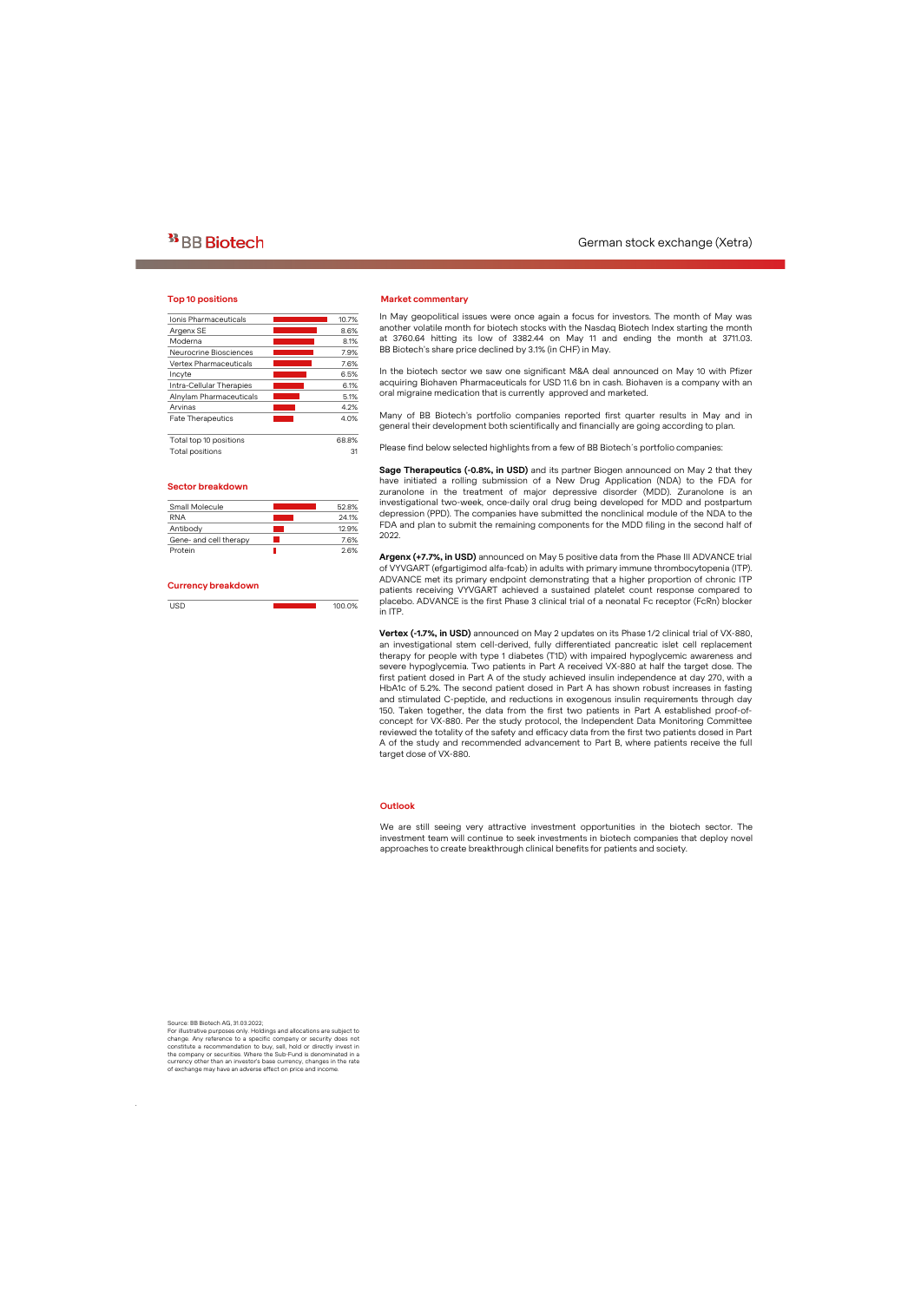### **Top 10 positions**

| Ionis Pharmaceuticals    | 10.7% |
|--------------------------|-------|
| Argenx SE                | 8.6%  |
| Moderna                  | 8.1%  |
| Neurocrine Biosciences   | 7.9%  |
| Vertex Pharmaceuticals   | 7.6%  |
| Incyte                   | 6.5%  |
| Intra-Cellular Therapies | 6.1%  |
| Alnylam Pharmaceuticals  | 5.1%  |
| Arvinas                  | 4.2%  |
| <b>Fate Therapeutics</b> | 4.0%  |
| Total top 10 positions   | 68.8% |
| Total positions          | 31    |

#### **Sector breakdown**

| Small Molecule         | 52.8% |
|------------------------|-------|
| <b>RNA</b>             | 24.1% |
| Antibody               | 12.9% |
| Gene- and cell therapy | 76%   |
| Protein                | 26%   |
|                        |       |

#### **Currency breakdown**

| $\sim$ $-$ | 100.0% |
|------------|--------|

#### **Market commentary**

In May geopolitical issues were once again a focus for investors. The month of May was another volatile month for biotech stocks with the Nasdaq Biotech Index starting the month at 3760.64 hitting its low of 3382.44 on May 11 and ending the month at 3711.03. BB Biotech's share price declined by 3.1% (in CHF) in May.

In the biotech sector we saw one significant M&A deal announced on May 10 with Pfizer acquiring Biohaven Pharmaceuticals for USD 11.6 bn in cash. Biohaven is a company with an oral migraine medication that is currently approved and marketed.

Many of BB Biotech's portfolio companies reported first quarter results in May and in general their development both scientifically and financially are going according to plan.

Please find below selected highlights from a few of BB Biotech´s portfolio companies:

**Sage Therapeutics (-0.8%, in USD)** and its partner Biogen announced on May 2 that they have initiated a rolling submission of a New Drug Application (NDA) to the FDA for zuranolone in the treatment of major depressive disorder (MDD). Zuranolone is an investigational two-week, once-daily oral drug being developed for MDD and postpartum depression (PPD). The companies have submitted the nonclinical module of the NDA to the FDA and plan to submit the remaining components for the MDD filing in the second half of 2022.

**Argenx (+7.7%, in USD)** announced on May 5 positive data from the Phase III ADVANCE trial of VYVGART (efgartigimod alfa-fcab) in adults with primary immune thrombocytopenia (ITP). ADVANCE met its primary endpoint demonstrating that a higher proportion of chronic ITP patients receiving VYVGART achieved a sustained platelet count response compared to placebo. ADVANCE is the first Phase 3 clinical trial of a neonatal Fc receptor (FcRn) blocker in ITP.

**Vertex (-1.7%, in USD)** announced on May 2 updates on its Phase 1/2 clinical trial of VX-880, an investigational stem cell-derived, fully differentiated pancreatic islet cell replacement therapy for people with type 1 diabetes (T1D) with impaired hypoglycemic awareness and severe hypoglycemia. Two patients in Part A received VX-880 at half the target dose. The first patient dosed in Part A of the study achieved insulin independence at day 270, with a HbA1c of 5.2%. The second patient dosed in Part A has shown robust increases in fasting and stimulated C-peptide, and reductions in exogenous insulin requirements through day 150. Taken together, the data from the first two patients in Part A established proof-ofconcept for VX-880. Per the study protocol, the Independent Data Monitoring Committee reviewed the totality of the safety and efficacy data from the first two patients dosed in Part A of the study and recommended advancement to Part B, where patients receive the full target dose of VX-880.

#### **Outlook**

We are still seeing very attractive investment opportunities in the biotech sector. The investment team will continue to seek investments in biotech companies that deploy novel approaches to create breakthrough clinical benefits for patients and society.

Source: BB Biotech AG, 31.03.2022;

.

For illustrative purposes only. Holdings and allocations are subject to change. Any reference to a specific company or security does not constitute a recommendation to buy, sell, hold or directly invest in the company or securities. Where the Sub-Fund is denominated in a currency other than an investor's base currency, changes in the rate of exchange may have an adverse effect on price and income.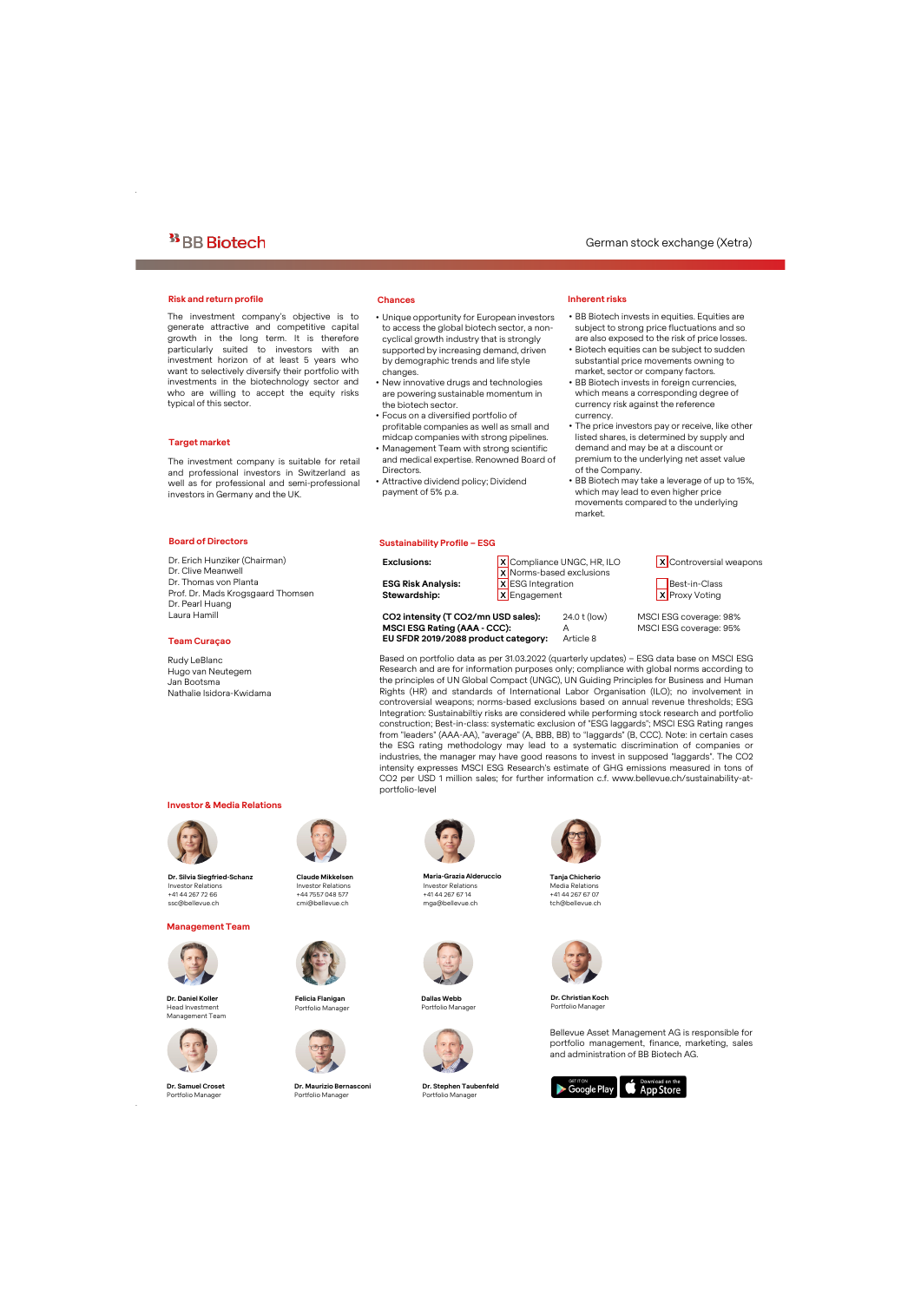#### **Risk and return profile Chances**

The investment company's objective is to generate attractive and competitive capital growth in the long term. It is therefore particularly suited to investors with an investment horizon of at least 5 years who want to selectively diversify their portfolio with investments in the biotechnology sector and who are willing to accept the equity risks typical of this sector.

### **Target market**

The investment company is suitable for retail and professional investors in Switzerland as well as for professional and semi-professional investors in Germany and the UK.

- Unique opportunity for European investors to access the global biotech sector, a noncyclical growth industry that is strongly supported by increasing demand, driven by demographic trends and life style changes.
- New innovative drugs and technologies are powering sustainable momentum in the biotech sector.
- Focus on a diversified portfolio of profitable companies as well as small and midcap companies with strong pipelines.
- Management Team with strong scientific and medical expertise. Renowned Board of **Directors**

**EU SFDR 2019/2088 product category:** Article 8

• Attractive dividend policy; Dividend payment of 5% p.a.

#### **Sustainability Profile – ESG**

## **Inherent risks**

- BB Biotech invests in equities. Equities are subject to strong price fluctuations and so are also exposed to the risk of price losses.
- Biotech equities can be subject to sudden substantial price movements owning to market, sector or company factors.
- BB Biotech invests in foreign currencies, which means a corresponding degree of currency risk against the reference currency.
- The price investors pay or receive, like other listed shares, is determined by supply and demand and may be at a discount or premium to the underlying net asset value of the Company.
- BB Biotech may take a leverage of up to 15%, which may lead to even higher price movements compared to the underlying market.

### **Board of Directors**

Dr. Erich Hunziker (Chairman) Dr. Clive Meanwell Dr. Thomas von Planta Prof. Dr. Mads Krogsgaard Thomsen Dr. Pearl Huang Laura Hamill

#### **Team Curaçao**

Rudy LeBlanc Hugo van Neutegem Jan Bootsma Nathalie Isidora-Kwidama

#### **Investor & Media Relations**



**Dr. Silvia Siegfried-Schanz** Investor Relations +41 44 267 72 66 ssc@bellevue.ch

#### **Management Team**



**Dr. Daniel Koller** Head Investment Management Team



**Dr. Samuel Croset** Portfolio Manager

.



**Claude Mikkelsen** Investor Relations +44 7557 048 577 cmi@bellevue.ch



**Felicia Flanigan** Portfolio Manager



**Dr. Maurizio Bernasconi** Portfolio Manager



portfolio-level

**Maria-Grazia Alderuccio** Investor Relations +41 44 267 67 14 mga@bellevue.ch



**Dallas Webb** Portfolio Manager



**Dr. Stephen Taubenfeld** Portfolio Manager



**Tanja Chicherio** Media Relations +41 44 267 67 07 tch@bellevue.ch



**Dr. ChristianKoch** Portfolio Manager

Bellevue Asset Management AG is responsible for portfolio management, finance, marketing, sales and administration of BB Biotech AG.





**Stewardship:** X Engagement X X Proxy Voting

**Exclusions:** X Compliance UNGC, HR, ILO X Controversial weapons X Norms-based exclusions **ESG Risk Analysis:** X ESG Integration Best-in-Class

**CO2 intensity (T CO2/mn USD sales):** 24.0 t (low) MSCI ESG coverage: 98% **MSCI ESG Rating (AAA - CCC):** A MSCI ESG coverage: 95%

Based on portfolio data as per 31.03.2022 (quarterly updates) – ESG data base on MSCI ESG Research and are for information purposes only; compliance with global norms according to the principles of UN Global Compact (UNGC), UN Guiding Principles for Business and Human Rights (HR) and standards of International Labor Organisation (ILO); no involvement in controversial weapons; norms-based exclusions based on annual revenue thresholds; ESG Integration: Sustainabiltiy risks are considered while performing stock research and portfolio construction; Best-in-class: systematic exclusion of "ESG laggards"; MSCI ESG Rating ranges from "leaders" (AAA-AA), "average" (A, BBB, BB) to "laggards" (B, CCC). Note: in certain cases the ESG rating methodology may lead to a systematic discrimination of companies or industries, the manager may have good reasons to invest in supposed "laggards". The CO2 intensity expresses MSCI ESG Research's estimate of GHG emissions measured in tons of CO2 per USD 1 million sales; for further information c.f. www.bellevue.ch/sustainability-at-